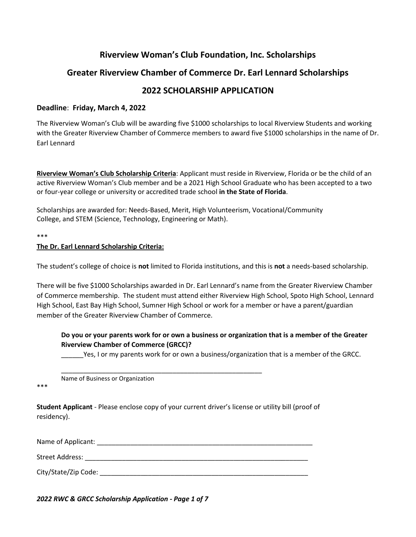# **Riverview Woman's Club Foundation, Inc. Scholarships**

# **Greater Riverview Chamber of Commerce Dr. Earl Lennard Scholarships**

## **2022 SCHOLARSHIP APPLICATION**

### **Deadline**: **Friday, March 4, 2022**

The Riverview Woman's Club will be awarding five \$1000 scholarships to local Riverview Students and working with the Greater Riverview Chamber of Commerce members to award five \$1000 scholarships in the name of Dr. Earl Lennard

**Riverview Woman's Club Scholarship Criteria**: Applicant must reside in Riverview, Florida or be the child of an active Riverview Woman's Club member and be a 2021 High School Graduate who has been accepted to a two or four-year college or university or accredited trade school **in the State of Florida**.

Scholarships are awarded for: Needs-Based, Merit, High Volunteerism, Vocational/Community College, and STEM (Science, Technology, Engineering or Math).

\*\*\*

### **The Dr. Earl Lennard Scholarship Criteria:**

The student's college of choice is **not** limited to Florida institutions, and this is **not** a needs-based scholarship.

There will be five \$1000 Scholarships awarded in Dr. Earl Lennard's name from the Greater Riverview Chamber of Commerce membership. The student must attend either Riverview High School, Spoto High School, Lennard High School, East Bay High School, Sumner High School or work for a member or have a parent/guardian member of the Greater Riverview Chamber of Commerce.

### **Do you or your parents work for or own a business or organization that is a member of the Greater Riverview Chamber of Commerce (GRCC)?**

\_\_\_\_\_\_Yes, I or my parents work for or own a business/organization that is a member of the GRCC.

Name of Business or Organization

\*\*\*

**Student Applicant** - Please enclose copy of your current driver's license or utility bill (proof of residency).

Name of Applicant: **Name of Applicant**  $\blacksquare$ 

\_\_\_\_\_\_\_\_\_\_\_\_\_\_\_\_\_\_\_\_\_\_\_\_\_\_\_\_\_\_\_\_\_\_\_\_\_\_\_\_\_\_\_\_\_\_\_\_\_\_\_\_\_\_

Street Address: \_\_\_\_\_\_\_\_\_\_\_\_\_\_\_\_\_\_\_\_\_\_\_\_\_\_\_\_\_\_\_\_\_\_\_\_\_\_\_\_\_\_\_\_\_\_\_\_\_\_\_\_\_\_\_\_\_\_\_\_

City/State/Zip Code: \_\_\_\_\_\_\_\_\_\_\_\_\_\_\_\_\_\_\_\_\_\_\_\_\_\_\_\_\_\_\_\_\_\_\_\_\_\_\_\_\_\_\_\_\_\_\_\_\_\_\_\_\_\_\_\_

*2022 RWC & GRCC Scholarship Application - Page 1 of 7*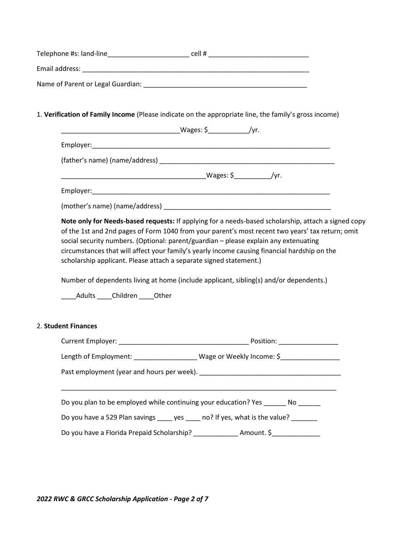| Telephone #s: land-line           | cell# |  |
|-----------------------------------|-------|--|
| Email address:                    |       |  |
| Name of Parent or Legal Guardian: |       |  |

## 1. **Verification of Family Income** (Please indicate on the appropriate line, the family's gross income)

| Note only for Needs-based requests: If applying for a needs-based scholarship, attach a signed copy<br>of the 1st and 2nd pages of Form 1040 from your parent's most recent two years' tax return; omit<br>social security numbers. (Optional: parent/guardian - please explain any extenuating<br>circumstances that will affect your family's yearly income causing financial hardship on the<br>scholarship applicant. Please attach a separate signed statement.) |
|-----------------------------------------------------------------------------------------------------------------------------------------------------------------------------------------------------------------------------------------------------------------------------------------------------------------------------------------------------------------------------------------------------------------------------------------------------------------------|
| Number of dependents living at home (include applicant, sibling(s) and/or dependents.)<br>Adults Children Other                                                                                                                                                                                                                                                                                                                                                       |
| 2. Student Finances                                                                                                                                                                                                                                                                                                                                                                                                                                                   |
|                                                                                                                                                                                                                                                                                                                                                                                                                                                                       |
| Length of Employment: _____________________ Wage or Weekly Income: \$_____________                                                                                                                                                                                                                                                                                                                                                                                    |
|                                                                                                                                                                                                                                                                                                                                                                                                                                                                       |
| Do you plan to be employed while continuing your education? Yes _______ No ______                                                                                                                                                                                                                                                                                                                                                                                     |
| Do you have a 529 Plan savings ____ yes ____ no? If yes, what is the value? ______                                                                                                                                                                                                                                                                                                                                                                                    |
| Do you have a Florida Prepaid Scholarship? _______________ Amount. \$____________                                                                                                                                                                                                                                                                                                                                                                                     |

*2022 RWC & GRCC Scholarship Application - Page 2 of 7*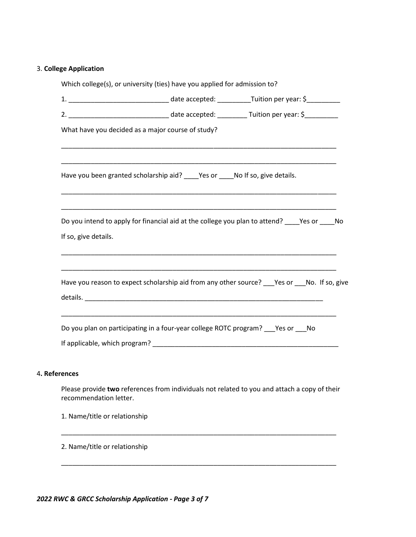## 3. **College Application**

|                               | Which college(s), or university (ties) have you applied for admission to?                         |  |  |
|-------------------------------|---------------------------------------------------------------------------------------------------|--|--|
|                               |                                                                                                   |  |  |
|                               |                                                                                                   |  |  |
|                               | What have you decided as a major course of study?                                                 |  |  |
|                               | Have you been granted scholarship aid? ____Yes or ____No If so, give details.                     |  |  |
| If so, give details.          | Do you intend to apply for financial aid at the college you plan to attend? _____ Yes or _____ No |  |  |
|                               | Have you reason to expect scholarship aid from any other source? ___ Yes or ___ No. If so, give   |  |  |
|                               | Do you plan on participating in a four-year college ROTC program? ___ Yes or ___ No               |  |  |
| 4. References                 |                                                                                                   |  |  |
| recommendation letter.        | Please provide two references from individuals not related to you and attach a copy of their      |  |  |
| 1. Name/title or relationship |                                                                                                   |  |  |
|                               |                                                                                                   |  |  |

\_\_\_\_\_\_\_\_\_\_\_\_\_\_\_\_\_\_\_\_\_\_\_\_\_\_\_\_\_\_\_\_\_\_\_\_\_\_\_\_\_\_\_\_\_\_\_\_\_\_\_\_\_\_\_\_\_\_\_\_\_\_\_\_\_\_\_\_\_\_\_\_\_\_

2. Name/title or relationship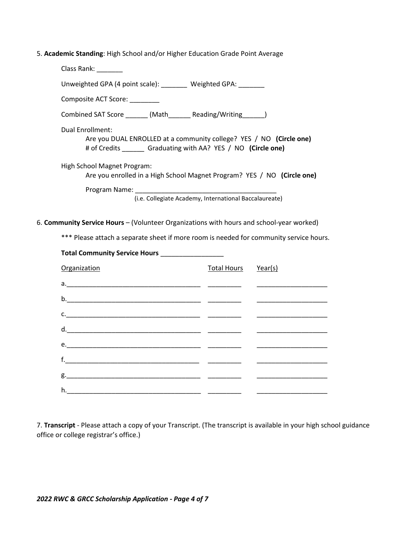| 5. Academic Standing: High School and/or Higher Education Grade Point Average |
|-------------------------------------------------------------------------------|
|-------------------------------------------------------------------------------|

| Class Rank: Class Rank:                                                                                                                           |
|---------------------------------------------------------------------------------------------------------------------------------------------------|
| Unweighted GPA (4 point scale): Weighted GPA:                                                                                                     |
| Composite ACT Score:                                                                                                                              |
| Combined SAT Score _______ (Math__________ Reading/Writing________)                                                                               |
| Dual Enrollment:<br>Are you DUAL ENROLLED at a community college? YES / NO (Circle one)<br># of Credits Graduating with AA? YES / NO (Circle one) |
| High School Magnet Program:                                                                                                                       |
| Are you enrolled in a High School Magnet Program? YES / NO (Circle one)                                                                           |
|                                                                                                                                                   |
| (i.e. Collegiate Academy, International Baccalaureate)                                                                                            |
|                                                                                                                                                   |

6. **Community Service Hours** – (Volunteer Organizations with hours and school-year worked)

\*\*\* Please attach a separate sheet if more room is needed for community service hours.

| Total Community Service Hours __________________                                                                                                                                                                                                                                                                                                                                                                                                                                                                                         |                     |  |
|------------------------------------------------------------------------------------------------------------------------------------------------------------------------------------------------------------------------------------------------------------------------------------------------------------------------------------------------------------------------------------------------------------------------------------------------------------------------------------------------------------------------------------------|---------------------|--|
| Organization                                                                                                                                                                                                                                                                                                                                                                                                                                                                                                                             | Total Hours Year(s) |  |
|                                                                                                                                                                                                                                                                                                                                                                                                                                                                                                                                          |                     |  |
|                                                                                                                                                                                                                                                                                                                                                                                                                                                                                                                                          |                     |  |
| c.                                                                                                                                                                                                                                                                                                                                                                                                                                                                                                                                       |                     |  |
| $\underline{\hspace{1cm}}\qquad \qquad \underbrace{\hspace{1cm}}\qquad \qquad \underbrace{\hspace{1cm}}\qquad \qquad \underbrace{\hspace{1cm}}\qquad \qquad \ldots \qquad \qquad \ldots \qquad \qquad \ldots \qquad \qquad \ldots \qquad \qquad \ldots \qquad \qquad \ldots \qquad \qquad \ldots \qquad \qquad \ldots \qquad \qquad \ldots \qquad \qquad \ldots \qquad \qquad \ldots \qquad \qquad \ldots \qquad \qquad \ldots \qquad \qquad \ldots \qquad \qquad \ldots \qquad \qquad \ldots \qquad \qquad \ldots \qquad \qquad \ldots$ |                     |  |
|                                                                                                                                                                                                                                                                                                                                                                                                                                                                                                                                          |                     |  |
|                                                                                                                                                                                                                                                                                                                                                                                                                                                                                                                                          |                     |  |
|                                                                                                                                                                                                                                                                                                                                                                                                                                                                                                                                          |                     |  |
|                                                                                                                                                                                                                                                                                                                                                                                                                                                                                                                                          |                     |  |
|                                                                                                                                                                                                                                                                                                                                                                                                                                                                                                                                          |                     |  |

7. **Transcript** - Please attach a copy of your Transcript. (The transcript is available in your high school guidance office or college registrar's office.)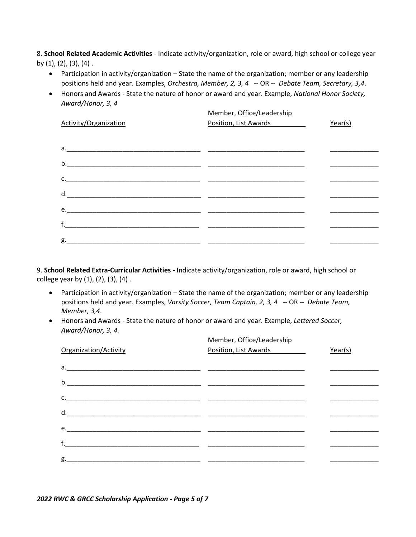8. **School Related Academic Activities** - Indicate activity/organization, role or award, high school or college year by (1), (2), (3), (4) .

- Participation in activity/organization State the name of the organization; member or any leadership positions held and year. Examples, *Orchestra, Member, 2, 3, 4* -- OR -- *Debate Team, Secretary, 3,4*.
- Honors and Awards State the nature of honor or award and year. Example, *National Honor Society, Award/Honor, 3, 4*

| Activity/Organization | Member, Office/Leadership<br>Position, List Awards | Year(s) |
|-----------------------|----------------------------------------------------|---------|
|                       |                                                    |         |
|                       |                                                    |         |
|                       |                                                    |         |
|                       |                                                    |         |
|                       |                                                    |         |
|                       |                                                    |         |
|                       |                                                    |         |

9. **School Related Extra-Curricular Activities -** Indicate activity/organization, role or award, high school or college year by (1), (2), (3), (4) .

- Participation in activity/organization State the name of the organization; member or any leadership positions held and year. Examples, *Varsity Soccer, Team Captain, 2, 3, 4* -- OR -- *Debate Team, Member, 3,4*.
- Honors and Awards State the nature of honor or award and year. Example, *Lettered Soccer, Award/Honor, 3, 4.*

| Organization/Activity | Member, Office/Leadership<br>Position, List Awards | Year(s) |
|-----------------------|----------------------------------------------------|---------|
|                       |                                                    |         |
|                       |                                                    |         |
|                       |                                                    |         |
| d.                    |                                                    |         |
|                       |                                                    |         |
|                       |                                                    |         |
|                       |                                                    |         |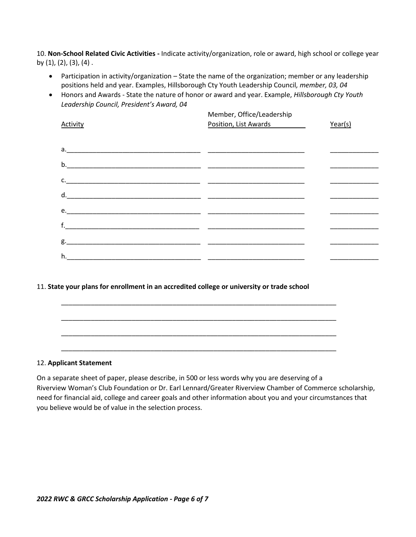10. **Non-School Related Civic Activities -** Indicate activity/organization, role or award, high school or college year by (1), (2), (3), (4) .

- Participation in activity/organization State the name of the organization; member or any leadership positions held and year. Examples, Hillsborough Cty Youth Leadership Council*, member, 03, 04*
- Honors and Awards State the nature of honor or award and year. Example, *Hillsborough Cty Youth Leadership Council, President's Award, 04*

| Activity | Member, Office/Leadership<br>Position, List Awards | Year(s) |
|----------|----------------------------------------------------|---------|
|          |                                                    |         |
|          |                                                    |         |
|          |                                                    |         |
|          |                                                    |         |
|          |                                                    |         |
|          |                                                    |         |
|          |                                                    |         |
|          |                                                    |         |

#### 11. **State your plans for enrollment in an accredited college or university or trade school**

\_\_\_\_\_\_\_\_\_\_\_\_\_\_\_\_\_\_\_\_\_\_\_\_\_\_\_\_\_\_\_\_\_\_\_\_\_\_\_\_\_\_\_\_\_\_\_\_\_\_\_\_\_\_\_\_\_\_\_\_\_\_\_\_\_\_\_\_\_\_\_\_\_\_

#### 12. **Applicant Statement**

On a separate sheet of paper, please describe, in 500 or less words why you are deserving of a Riverview Woman's Club Foundation or Dr. Earl Lennard/Greater Riverview Chamber of Commerce scholarship, need for financial aid, college and career goals and other information about you and your circumstances that you believe would be of value in the selection process.